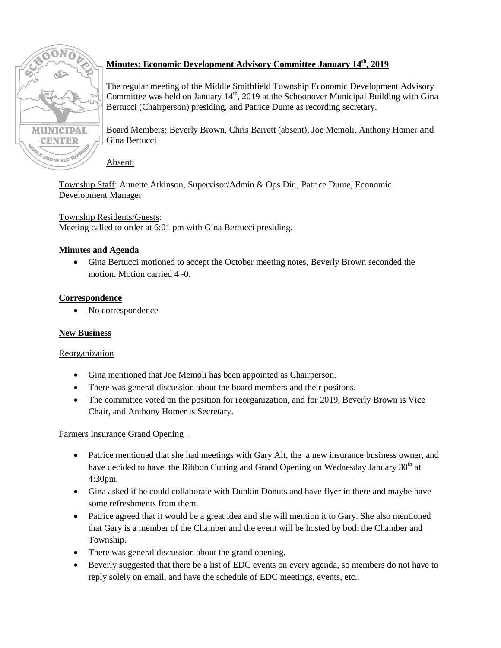

# **Minutes: Economic Development Advisory Committee January 14th, 2019**

The regular meeting of the Middle Smithfield Township Economic Development Advisory Committee was held on January  $14<sup>th</sup>$ , 2019 at the Schoonover Municipal Building with Gina Bertucci (Chairperson) presiding, and Patrice Dume as recording secretary.

Board Members: Beverly Brown, Chris Barrett (absent), Joe Memoli, Anthony Homer and Gina Bertucci

#### Absent:

Township Staff: Annette Atkinson, Supervisor/Admin & Ops Dir., Patrice Dume, Economic Development Manager

# Township Residents/Guests:

Meeting called to order at 6:01 pm with Gina Bertucci presiding.

# **Minutes and Agenda**

 Gina Bertucci motioned to accept the October meeting notes, Beverly Brown seconded the motion. Motion carried 4 -0.

### **Correspondence**

No correspondence

### **New Business**

### Reorganization

- Gina mentioned that Joe Memoli has been appointed as Chairperson.
- There was general discussion about the board members and their positons.
- The committee voted on the position for reorganization, and for 2019, Beverly Brown is Vice Chair, and Anthony Homer is Secretary.

### Farmers Insurance Grand Opening .

- Patrice mentioned that she had meetings with Gary Alt, the a new insurance business owner, and have decided to have the Ribbon Cutting and Grand Opening on Wednesday January 30<sup>th</sup> at 4:30pm.
- Gina asked if he could collaborate with Dunkin Donuts and have flyer in there and maybe have some refreshments from them.
- Patrice agreed that it would be a great idea and she will mention it to Gary. She also mentioned that Gary is a member of the Chamber and the event will be hosted by both the Chamber and Township.
- There was general discussion about the grand opening.
- Beverly suggested that there be a list of EDC events on every agenda, so members do not have to reply solely on email, and have the schedule of EDC meetings, events, etc..